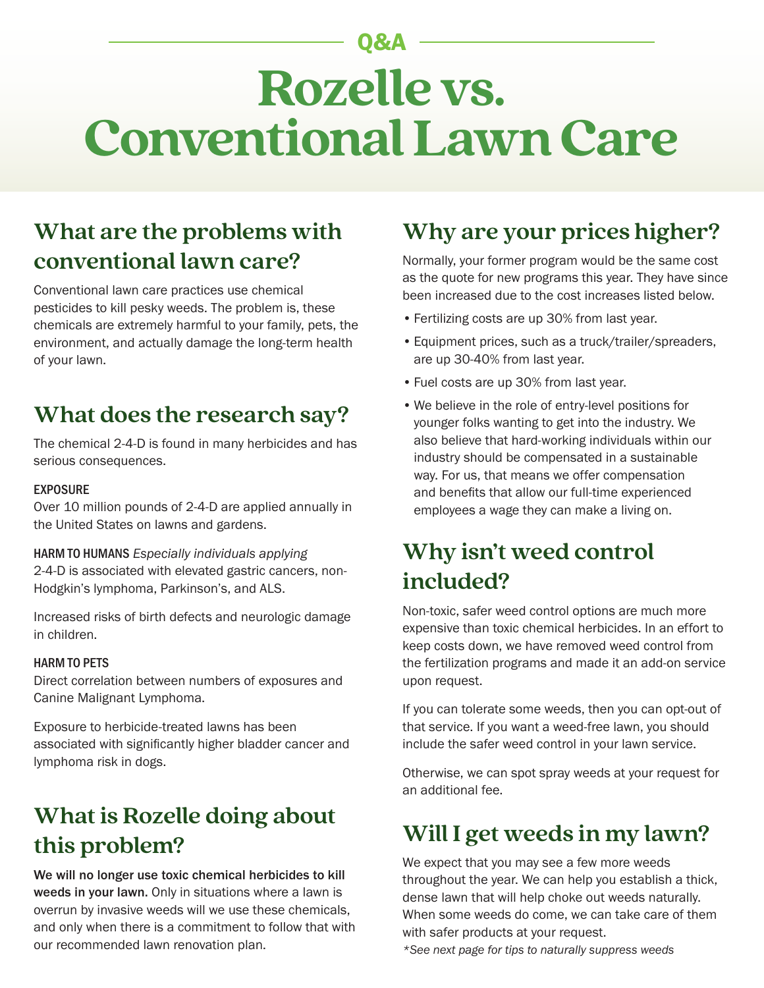# **Rozelle vs. Conventional Lawn Care** Q&A

### **What are the problems with conventional lawn care?**

Conventional lawn care practices use chemical pesticides to kill pesky weeds. The problem is, these chemicals are extremely harmful to your family, pets, the environment, and actually damage the long-term health of your lawn.

#### **What does the research say?**

The chemical 2-4-D is found in many herbicides and has serious consequences.

#### EXPOSURE

Over 10 million pounds of 2-4-D are applied annually in the United States on lawns and gardens.

HARM TO HUMANS *Especially individuals applying*

2-4-D is associated with elevated gastric cancers, non-Hodgkin's lymphoma, Parkinson's, and ALS.

Increased risks of birth defects and neurologic damage in children.

#### HARM TO PETS

Direct correlation between numbers of exposures and Canine Malignant Lymphoma.

Exposure to herbicide-treated lawns has been associated with significantly higher bladder cancer and lymphoma risk in dogs.

## **What is Rozelle doing about this problem? Will I get weeds in my lawn?**

We will no longer use toxic chemical herbicides to kill weeds in your lawn. Only in situations where a lawn is overrun by invasive weeds will we use these chemicals, and only when there is a commitment to follow that with our recommended lawn renovation plan.

#### **Why are your prices higher?**

Normally, your former program would be the same cost as the quote for new programs this year. They have since been increased due to the cost increases listed below.

- •Fertilizing costs are up 30% from last year.
- •Equipment prices, such as a truck/trailer/spreaders, are up 30-40% from last year.
- •Fuel costs are up 30% from last year.
- We believe in the role of entry-level positions for younger folks wanting to get into the industry. We also believe that hard-working individuals within our industry should be compensated in a sustainable way. For us, that means we offer compensation and benefits that allow our full-time experienced employees a wage they can make a living on.

#### **Why isn't weed control included?**

Non-toxic, safer weed control options are much more expensive than toxic chemical herbicides. In an effort to keep costs down, we have removed weed control from the fertilization programs and made it an add-on service upon request.

If you can tolerate some weeds, then you can opt-out of that service. If you want a weed-free lawn, you should include the safer weed control in your lawn service.

Otherwise, we can spot spray weeds at your request for an additional fee.

We expect that you may see a few more weeds throughout the year. We can help you establish a thick, dense lawn that will help choke out weeds naturally. When some weeds do come, we can take care of them with safer products at your request.

*\*See next page for tips to naturally suppress weeds*